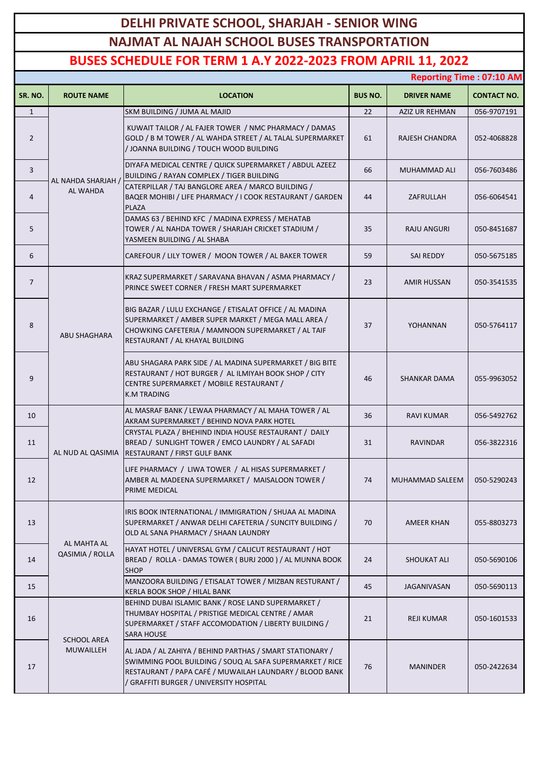## **DELHI PRIVATE SCHOOL, SHARJAH - SENIOR WING NAJMAT AL NAJAH SCHOOL BUSES TRANSPORTATION**

## **BUSES SCHEDULE FOR TERM 1 A.Y 2022-2023 FROM APRIL 11, 2022**

|                | <b>Reporting Time: 07:10 AM</b> |                                                                                                                                                                                                                             |                |                       |                    |  |  |
|----------------|---------------------------------|-----------------------------------------------------------------------------------------------------------------------------------------------------------------------------------------------------------------------------|----------------|-----------------------|--------------------|--|--|
| SR. NO.        | <b>ROUTE NAME</b>               | <b>LOCATION</b>                                                                                                                                                                                                             | <b>BUS NO.</b> | <b>DRIVER NAME</b>    | <b>CONTACT NO.</b> |  |  |
| $\mathbf{1}$   |                                 | SKM BUILDING / JUMA AL MAJID                                                                                                                                                                                                | 22             | <b>AZIZ UR REHMAN</b> | 056-9707191        |  |  |
| $\overline{2}$ | AL NAHDA SHARJAH /<br>AL WAHDA  | KUWAIT TAILOR / AL FAJER TOWER / NMC PHARMACY / DAMAS<br>GOLD / B M TOWER / AL WAHDA STREET / AL TALAL SUPERMARKET<br>/ JOANNA BUILDING / TOUCH WOOD BUILDING                                                               | 61             | RAJESH CHANDRA        | 052-4068828        |  |  |
| 3              |                                 | DIYAFA MEDICAL CENTRE / QUICK SUPERMARKET / ABDUL AZEEZ<br>BUILDING / RAYAN COMPLEX / TIGER BUILDING                                                                                                                        | 66             | MUHAMMAD ALI          | 056-7603486        |  |  |
| 4              |                                 | CATERPILLAR / TAJ BANGLORE AREA / MARCO BUILDING /<br>BAQER MOHIBI / LIFE PHARMACY / I COOK RESTAURANT / GARDEN<br><b>PLAZA</b>                                                                                             | 44             | ZAFRULLAH             | 056-6064541        |  |  |
| 5              |                                 | DAMAS 63 / BEHIND KFC / MADINA EXPRESS / MEHATAB<br>TOWER / AL NAHDA TOWER / SHARJAH CRICKET STADIUM /<br>YASMEEN BUILDING / AL SHABA                                                                                       | 35             | RAJU ANGURI           | 050-8451687        |  |  |
| 6              |                                 | CAREFOUR / LILY TOWER / MOON TOWER / AL BAKER TOWER                                                                                                                                                                         | 59             | SAI REDDY             | 050-5675185        |  |  |
| $\overline{7}$ | <b>ABU SHAGHARA</b>             | KRAZ SUPERMARKET / SARAVANA BHAVAN / ASMA PHARMACY /<br>PRINCE SWEET CORNER / FRESH MART SUPERMARKET                                                                                                                        | 23             | AMIR HUSSAN           | 050-3541535        |  |  |
| 8              |                                 | BIG BAZAR / LULU EXCHANGE / ETISALAT OFFICE / AL MADINA<br>SUPERMARKET / AMBER SUPER MARKET / MEGA MALL AREA /<br>CHOWKING CAFETERIA / MAMNOON SUPERMARKET / AL TAIF<br>RESTAURANT / AL KHAYAL BUILDING                     | 37             | YOHANNAN              | 050-5764117        |  |  |
| 9              |                                 | ABU SHAGARA PARK SIDE / AL MADINA SUPERMARKET / BIG BITE<br>RESTAURANT / HOT BURGER / AL ILMIYAH BOOK SHOP / CITY<br>CENTRE SUPERMARKET / MOBILE RESTAURANT /<br><b>K.M TRADING</b>                                         | 46             | <b>SHANKAR DAMA</b>   | 055-9963052        |  |  |
| 10             |                                 | AL MASRAF BANK / LEWAA PHARMACY / AL MAHA TOWER / AL<br>AKRAM SUPERMARKET / BEHIND NOVA PARK HOTEL                                                                                                                          | 36             | <b>RAVI KUMAR</b>     | 056-5492762        |  |  |
| 11             |                                 | CRYSTAL PLAZA / BHEHIND INDIA HOUSE RESTAURANT / DAILY<br>BREAD / SUNLIGHT TOWER / EMCO LAUNDRY / AL SAFADI<br>AL NUD AL QASIMIA   RESTAURANT / FIRST GULF BANK                                                             | 31             | <b>RAVINDAR</b>       | 056-3822316        |  |  |
| 12             |                                 | LIFE PHARMACY / LIWA TOWER / AL HISAS SUPERMARKET /<br>AMBER AL MADEENA SUPERMARKET / MAISALOON TOWER /<br>PRIME MEDICAL                                                                                                    | 74             | MUHAMMAD SALEEM       | 050-5290243        |  |  |
| 13             | AL MAHTA AL<br>QASIMIA / ROLLA  | IRIS BOOK INTERNATIONAL / IMMIGRATION / SHUAA AL MADINA<br>SUPERMARKET / ANWAR DELHI CAFETERIA / SUNCITY BUILDING /<br>OLD AL SANA PHARMACY / SHAAN LAUNDRY                                                                 | 70             | AMEER KHAN            | 055-8803273        |  |  |
| 14             |                                 | HAYAT HOTEL / UNIVERSAL GYM / CALICUT RESTAURANT / HOT<br>BREAD / ROLLA - DAMAS TOWER (BURJ 2000) / AL MUNNA BOOK<br><b>SHOP</b>                                                                                            | 24             | <b>SHOUKAT ALI</b>    | 050-5690106        |  |  |
| 15             |                                 | MANZOORA BUILDING / ETISALAT TOWER / MIZBAN RESTURANT /<br>KERLA BOOK SHOP / HILAL BANK                                                                                                                                     | 45             | JAGANIVASAN           | 050-5690113        |  |  |
| 16             | <b>SCHOOL AREA</b><br>MUWAILLEH | BEHIND DUBAI ISLAMIC BANK / ROSE LAND SUPERMARKET /<br>THUMBAY HOSPITAL / PRISTIGE MEDICAL CENTRE / AMAR<br>SUPERMARKET / STAFF ACCOMODATION / LIBERTY BUILDING /<br><b>SARA HOUSE</b>                                      | 21             | REJI KUMAR            | 050-1601533        |  |  |
| 17             |                                 | AL JADA / AL ZAHIYA / BEHIND PARTHAS / SMART STATIONARY /<br>SWIMMING POOL BUILDING / SOUQ AL SAFA SUPERMARKET / RICE<br>RESTAURANT / PAPA CAFÉ / MUWAILAH LAUNDARY / BLOOD BANK<br>/ GRAFFITI BURGER / UNIVERSITY HOSPITAL | 76             | <b>MANINDER</b>       | 050-2422634        |  |  |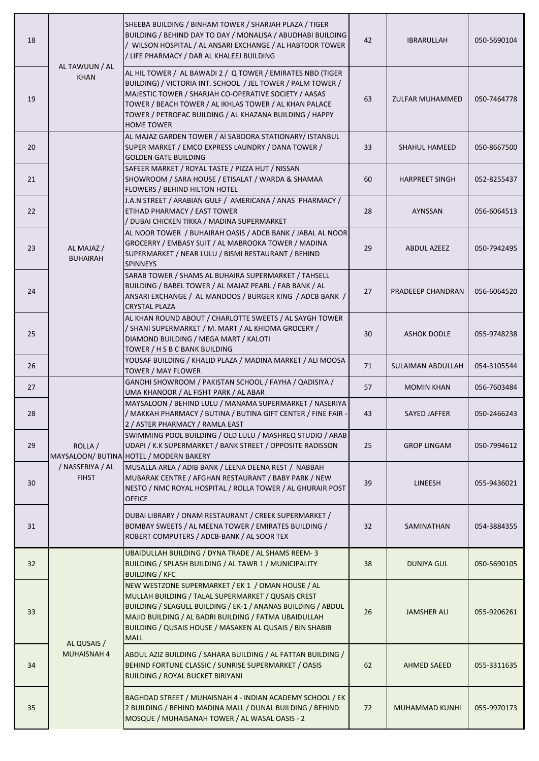| 18              | AL TAWUUN / AL<br><b>KHAN</b>               | SHEEBA BUILDING / BINHAM TOWER / SHARJAH PLAZA / TIGER<br>BUILDING / BEHIND DAY TO DAY / MONALISA / ABUDHABI BUILDING<br>/ WILSON HOSPITAL / AL ANSARI EXCHANGE / AL HABTOOR TOWER<br>/ LIFE PHARMACY / DAR AL KHALEEJ BUILDING                                                                                              | 42 | IBRARULLAH            | 050-5690104 |
|-----------------|---------------------------------------------|------------------------------------------------------------------------------------------------------------------------------------------------------------------------------------------------------------------------------------------------------------------------------------------------------------------------------|----|-----------------------|-------------|
| 19              |                                             | AL HIL TOWER / AL BAWADI 2 / Q TOWER / EMIRATES NBD (TIGER<br>BUILDING) / VICTORIA INT. SCHOOL / JEL TOWER / PALM TOWER /<br>MAJESTIC TOWER / SHARJAH CO-OPERATIVE SOCIETY / AASAS<br>TOWER / BEACH TOWER / AL IKHLAS TOWER / AL KHAN PALACE<br>TOWER / PETROFAC BUILDING / AL KHAZANA BUILDING / HAPPY<br><b>HOME TOWER</b> | 63 | ZULFAR MUHAMMED       | 050-7464778 |
| 20              |                                             | AL MAJAZ GARDEN TOWER / AI SABOORA STATIONARY/ ISTANBUL<br>SUPER MARKET / EMCO EXPRESS LAUNDRY / DANA TOWER /<br><b>GOLDEN GATE BUILDING</b>                                                                                                                                                                                 | 33 | <b>SHAHUL HAMEED</b>  | 050-8667500 |
| 21              |                                             | SAFEER MARKET / ROYAL TASTE / PIZZA HUT / NISSAN<br>SHOWROOM / SARA HOUSE / ETISALAT / WARDA & SHAMAA<br>FLOWERS / BEHIND HILTON HOTEL                                                                                                                                                                                       | 60 | <b>HARPREET SINGH</b> | 052-8255437 |
| 22              |                                             | J.A.N STREET / ARABIAN GULF / AMERICANA / ANAS PHARMACY /<br>ETIHAD PHARMACY / EAST TOWER<br>/ DUBAI CHICKEN TIKKA / MADINA SUPERMARKET                                                                                                                                                                                      | 28 | AYNSSAN               | 056-6064513 |
| 23              | AL MAJAZ /<br><b>BUHAIRAH</b>               | AL NOOR TOWER / BUHAIRAH OASIS / ADCB BANK / JABAL AL NOOR<br>GROCERRY / EMBASY SUIT / AL MABROOKA TOWER / MADINA<br>SUPERMARKET / NEAR LULU / BISMI RESTAURANT / BEHIND<br><b>SPINNEYS</b>                                                                                                                                  | 29 | <b>ABDUL AZEEZ</b>    | 050-7942495 |
| 24              |                                             | SARAB TOWER / SHAMS AL BUHAIRA SUPERMARKET / TAHSELL<br>BUILDING / BABEL TOWER / AL MAJAZ PEARL / FAB BANK / AL<br>ANSARI EXCHANGE / AL MANDOOS / BURGER KING / ADCB BANK /<br><b>CRYSTAL PLAZA</b>                                                                                                                          | 27 | PRADEEEP CHANDRAN     | 056-6064520 |
| 25              |                                             | AL KHAN ROUND ABOUT / CHARLOTTE SWEETS / AL SAYGH TOWER<br>/ SHANI SUPERMARKET / M. MART / AL KHIDMA GROCERY /<br>DIAMOND BUILDING / MEGA MART / KALOTI<br>TOWER / H S B C BANK BUILDING                                                                                                                                     | 30 | <b>ASHOK DODLE</b>    | 055-9748238 |
| 26              |                                             | YOUSAF BUILDING / KHALID PLAZA / MADINA MARKET / ALI MOOSA<br>TOWER / MAY FLOWER                                                                                                                                                                                                                                             | 71 | SULAIMAN ABDULLAH     | 054-3105544 |
| 27              |                                             | GANDHI SHOWROOM / PAKISTAN SCHOOL / FAYHA / QADISIYA /<br>UMA KHANOOR / AL FISHT PARK / AL ABAR                                                                                                                                                                                                                              | 57 | <b>MOMIN KHAN</b>     | 056-7603484 |
| 28              | ROLLA /<br>/ NASSERIYA / AL<br><b>FIHST</b> | MAYSALOON / BEHIND LULU / MANAMA SUPERMARKET / NASERIYA<br>/ MAKKAH PHARMACY / BUTINA / BUTINA GIFT CENTER / FINE FAIR -<br>2 / ASTER PHARMACY / RAMLA EAST                                                                                                                                                                  | 43 | SAYED JAFFER          | 050-2466243 |
| 29              |                                             | SWIMMING POOL BUILDING / OLD LULU / MASHREQ STUDIO / ARAB<br>UDAPI / K.K SUPERMARKET / BANK STREET / OPPOSITE RADISSON<br>MAYSALOON/ BUTINA HOTEL / MODERN BAKERY                                                                                                                                                            | 25 | <b>GROP LINGAM</b>    | 050-7994612 |
| 30 <sup>°</sup> |                                             | MUSALLA AREA / ADIB BANK / LEENA DEENA REST / NABBAH<br>MUBARAK CENTRE / AFGHAN RESTAURANT / BABY PARK / NEW<br>NESTO / NMC ROYAL HOSPITAL / ROLLA TOWER / AL GHURAIR POST<br><b>OFFICE</b>                                                                                                                                  | 39 | LINEESH               | 055-9436021 |
| 31              |                                             | DUBAI LIBRARY / ONAM RESTAURANT / CREEK SUPERMARKET /<br>BOMBAY SWEETS / AL MEENA TOWER / EMIRATES BUILDING /<br>ROBERT COMPUTERS / ADCB-BANK / AL SOOR TEX                                                                                                                                                                  | 32 | SAMINATHAN            | 054-3884355 |
| 32              | AL QUSAIS /<br>MUHAISNAH 4                  | UBAIDULLAH BUILDING / DYNA TRADE / AL SHAMS REEM-3<br>BUILDING / SPLASH BUILDING / AL TAWR 1 / MUNICIPALITY<br><b>BUILDING / KFC</b>                                                                                                                                                                                         | 38 | DUNIYA GUL            | 050-5690105 |
| 33              |                                             | NEW WESTZONE SUPERMARKET / EK 1 / OMAN HOUSE / AL<br>MULLAH BUILDING / TALAL SUPERMARKET / QUSAIS CREST<br>BUILDING / SEAGULL BUILDING / EK-1 / ANANAS BUILDING / ABDUL<br>MAJID BUILDING / AL BADRI BUILDING / FATMA UBAIDULLAH<br>BUILDING / QUSAIS HOUSE / MASAKEN AL QUSAIS / BIN SHABIB<br><b>MALL</b>                  | 26 | <b>JAMSHER ALI</b>    | 055-9206261 |
| 34              |                                             | ABDUL AZIZ BUILDING / SAHARA BUILDING / AL FATTAN BUILDING /<br>BEHIND FORTUNE CLASSIC / SUNRISE SUPERMARKET / OASIS<br><b>BUILDING / ROYAL BUCKET BIRIYANI</b>                                                                                                                                                              | 62 | AHMED SAEED           | 055-3311635 |
| 35              |                                             | BAGHDAD STREET / MUHAISNAH 4 - INDIAN ACADEMY SCHOOL / EK<br>2 BUILDING / BEHIND MADINA MALL / DUNAL BUILDING / BEHIND<br>MOSQUE / MUHAISANAH TOWER / AL WASAL OASIS - 2                                                                                                                                                     | 72 | MUHAMMAD KUNHI        | 055-9970173 |